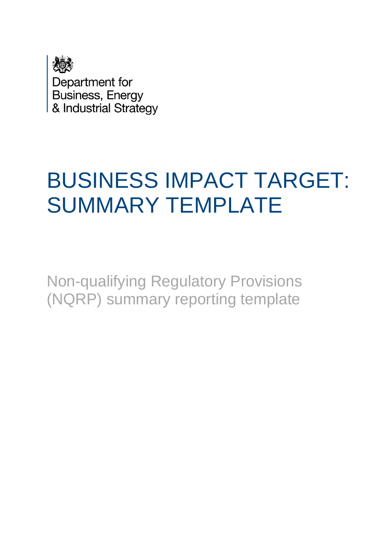

Department for Business, Energy & Industrial Strategy

## BUSINESS IMPACT TARGET: SUMMARY TEMPLATE

Non-qualifying Regulatory Provisions (NQRP) summary reporting template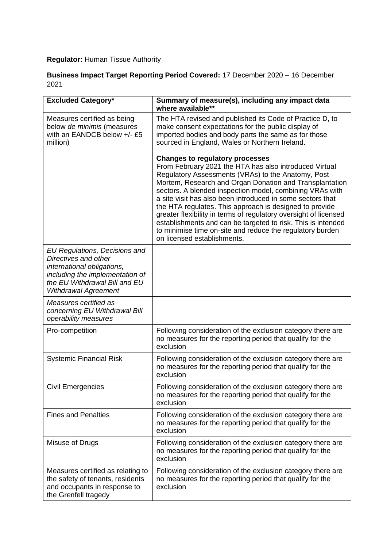## **Regulator:** Human Tissue Authority

## **Business Impact Target Reporting Period Covered:** 17 December 2020 – 16 December 2021

| <b>Excluded Category*</b>                                                                                                                                                              | Summary of measure(s), including any impact data<br>where available**                                                                                                                                                                                                                                                                                                                                                                                                                                                                                                                                                                  |
|----------------------------------------------------------------------------------------------------------------------------------------------------------------------------------------|----------------------------------------------------------------------------------------------------------------------------------------------------------------------------------------------------------------------------------------------------------------------------------------------------------------------------------------------------------------------------------------------------------------------------------------------------------------------------------------------------------------------------------------------------------------------------------------------------------------------------------------|
| Measures certified as being<br>below de minimis (measures<br>with an EANDCB below +/- £5<br>million)                                                                                   | The HTA revised and published its Code of Practice D, to<br>make consent expectations for the public display of<br>imported bodies and body parts the same as for those<br>sourced in England, Wales or Northern Ireland.                                                                                                                                                                                                                                                                                                                                                                                                              |
|                                                                                                                                                                                        | <b>Changes to regulatory processes</b><br>From February 2021 the HTA has also introduced Virtual<br>Regulatory Assessments (VRAs) to the Anatomy, Post<br>Mortem, Research and Organ Donation and Transplantation<br>sectors. A blended inspection model, combining VRAs with<br>a site visit has also been introduced in some sectors that<br>the HTA regulates. This approach is designed to provide<br>greater flexibility in terms of regulatory oversight of licensed<br>establishments and can be targeted to risk. This is intended<br>to minimise time on-site and reduce the regulatory burden<br>on licensed establishments. |
| EU Regulations, Decisions and<br>Directives and other<br>international obligations,<br>including the implementation of<br>the EU Withdrawal Bill and EU<br><b>Withdrawal Agreement</b> |                                                                                                                                                                                                                                                                                                                                                                                                                                                                                                                                                                                                                                        |
| Measures certified as<br>concerning EU Withdrawal Bill<br>operability measures                                                                                                         |                                                                                                                                                                                                                                                                                                                                                                                                                                                                                                                                                                                                                                        |
| Pro-competition                                                                                                                                                                        | Following consideration of the exclusion category there are<br>no measures for the reporting period that qualify for the<br>exclusion                                                                                                                                                                                                                                                                                                                                                                                                                                                                                                  |
| <b>Systemic Financial Risk</b>                                                                                                                                                         | Following consideration of the exclusion category there are<br>no measures for the reporting period that qualify for the<br>exclusion                                                                                                                                                                                                                                                                                                                                                                                                                                                                                                  |
| <b>Civil Emergencies</b>                                                                                                                                                               | Following consideration of the exclusion category there are<br>no measures for the reporting period that qualify for the<br>exclusion                                                                                                                                                                                                                                                                                                                                                                                                                                                                                                  |
| <b>Fines and Penalties</b>                                                                                                                                                             | Following consideration of the exclusion category there are<br>no measures for the reporting period that qualify for the<br>exclusion                                                                                                                                                                                                                                                                                                                                                                                                                                                                                                  |
| Misuse of Drugs                                                                                                                                                                        | Following consideration of the exclusion category there are<br>no measures for the reporting period that qualify for the<br>exclusion                                                                                                                                                                                                                                                                                                                                                                                                                                                                                                  |
| Measures certified as relating to<br>the safety of tenants, residents<br>and occupants in response to<br>the Grenfell tragedy                                                          | Following consideration of the exclusion category there are<br>no measures for the reporting period that qualify for the<br>exclusion                                                                                                                                                                                                                                                                                                                                                                                                                                                                                                  |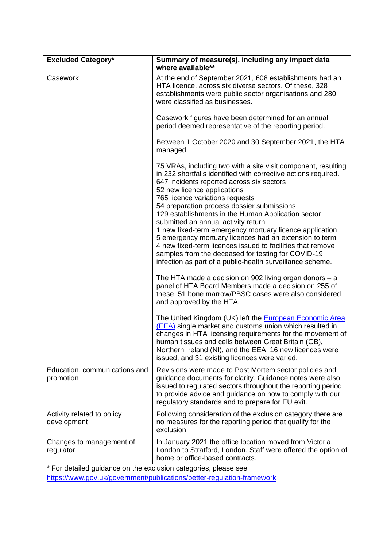| <b>Excluded Category*</b>                  | Summary of measure(s), including any impact data<br>where available**                                                                                                                                                                                                                                                                                                                                                                                                                                                                                                                                                                                                                           |
|--------------------------------------------|-------------------------------------------------------------------------------------------------------------------------------------------------------------------------------------------------------------------------------------------------------------------------------------------------------------------------------------------------------------------------------------------------------------------------------------------------------------------------------------------------------------------------------------------------------------------------------------------------------------------------------------------------------------------------------------------------|
| Casework                                   | At the end of September 2021, 608 establishments had an<br>HTA licence, across six diverse sectors. Of these, 328<br>establishments were public sector organisations and 280<br>were classified as businesses.                                                                                                                                                                                                                                                                                                                                                                                                                                                                                  |
|                                            | Casework figures have been determined for an annual<br>period deemed representative of the reporting period.                                                                                                                                                                                                                                                                                                                                                                                                                                                                                                                                                                                    |
|                                            | Between 1 October 2020 and 30 September 2021, the HTA<br>managed:                                                                                                                                                                                                                                                                                                                                                                                                                                                                                                                                                                                                                               |
|                                            | 75 VRAs, including two with a site visit component, resulting<br>in 232 shortfalls identified with corrective actions required.<br>647 incidents reported across six sectors<br>52 new licence applications<br>765 licence variations requests<br>54 preparation process dossier submissions<br>129 establishments in the Human Application sector<br>submitted an annual activity return<br>1 new fixed-term emergency mortuary licence application<br>5 emergency mortuary licences had an extension to term<br>4 new fixed-term licences issued to facilities that remove<br>samples from the deceased for testing for COVID-19<br>infection as part of a public-health surveillance scheme. |
|                                            | The HTA made a decision on 902 living organ donors - a<br>panel of HTA Board Members made a decision on 255 of<br>these. 51 bone marrow/PBSC cases were also considered<br>and approved by the HTA.                                                                                                                                                                                                                                                                                                                                                                                                                                                                                             |
|                                            | The United Kingdom (UK) left the <b>European Economic Area</b><br>(EEA) single market and customs union which resulted in<br>changes in HTA licensing requirements for the movement of<br>human tissues and cells between Great Britain (GB),<br>Northern Ireland (NI), and the EEA. 16 new licences were<br>issued, and 31 existing licences were varied.                                                                                                                                                                                                                                                                                                                                      |
| Education, communications and<br>promotion | Revisions were made to Post Mortem sector policies and<br>guidance documents for clarity. Guidance notes were also<br>issued to regulated sectors throughout the reporting period<br>to provide advice and guidance on how to comply with our<br>regulatory standards and to prepare for EU exit.                                                                                                                                                                                                                                                                                                                                                                                               |
| Activity related to policy<br>development  | Following consideration of the exclusion category there are<br>no measures for the reporting period that qualify for the<br>exclusion                                                                                                                                                                                                                                                                                                                                                                                                                                                                                                                                                           |
| Changes to management of<br>regulator      | In January 2021 the office location moved from Victoria,<br>London to Stratford, London. Staff were offered the option of<br>home or office-based contracts.                                                                                                                                                                                                                                                                                                                                                                                                                                                                                                                                    |

\* For detailed guidance on the exclusion categories, please see <https://www.gov.uk/government/publications/better-regulation-framework>